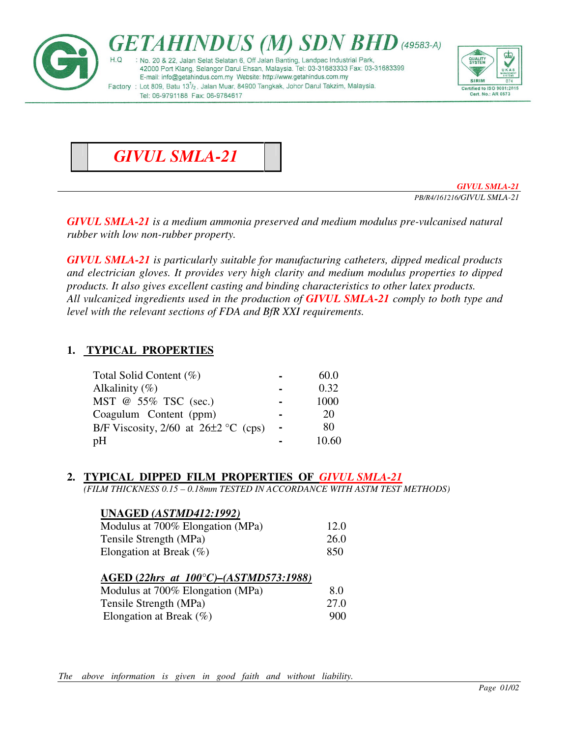

# *GIVUL SMLA-21*

*GIVUL SMLA-21 PB/R4/161216/GIVUL SMLA-21* 

*GIVUL SMLA-21 is a medium ammonia preserved and medium modulus pre-vulcanised natural rubber with low non-rubber property.* 

*GIVUL SMLA-21 is particularly suitable for manufacturing catheters, dipped medical products and electrician gloves. It provides very high clarity and medium modulus properties to dipped products. It also gives excellent casting and binding characteristics to other latex products. All vulcanized ingredients used in the production of GIVUL SMLA-21 comply to both type and level with the relevant sections of FDA and BfR XXI requirements.* 

### **1. TYPICAL PROPERTIES**

| Total Solid Content (%)                    |                | 60.0  |
|--------------------------------------------|----------------|-------|
| Alkalinity $(\%)$                          |                | 0.32  |
| MST @ 55% TSC (sec.)                       |                | 1000  |
| Coagulum Content (ppm)                     |                | 20    |
| B/F Viscosity, $2/60$ at $26\pm2$ °C (cps) | $\blacksquare$ | 80    |
| pH                                         |                | 10.60 |

# **2. TYPICAL DIPPED FILM PROPERTIES OF** *GIVUL SMLA-21*

*(FILM THICKNESS 0.15 – 0.18mm TESTED IN ACCORDANCE WITH ASTM TEST METHODS)* 

#### **UNAGED** *(ASTMD412:1992)*

| Modulus at 700% Elongation (MPa) | 12.0 |
|----------------------------------|------|
| Tensile Strength (MPa)           | 26.0 |
| Elongation at Break $(\% )$      | -850 |

#### **AGED (***22hrs at 100°C)–(ASTMD573:1988)*

| Modulus at 700% Elongation (MPa) | 8.0  |
|----------------------------------|------|
| Tensile Strength (MPa)           | 27.0 |
| Elongation at Break $(\% )$      | 900  |